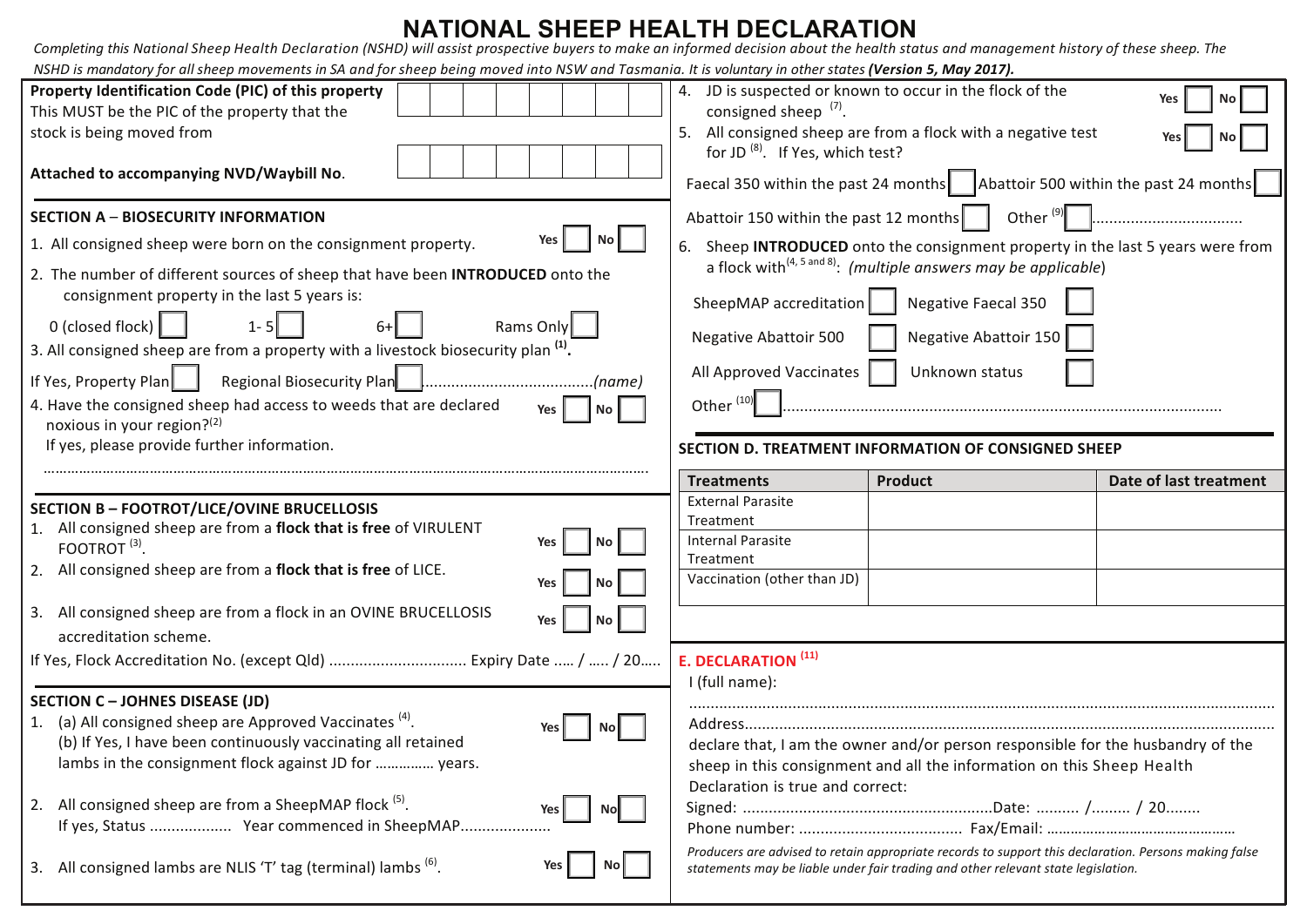## **NATIONAL SHEEP HEALTH DECLARATION**

| Completing this National Sheep Health Declaration (NSHD) will assist prospective buyers to make an informed decision about the health status and management history of these sheep. The<br>NSHD is mandatory for all sheep movements in SA and for sheep being moved into NSW and Tasmania. It is voluntary in other states (Version 5, May 2017).                                                                                                                                                                                                               |                                                                                                                                                      |                                                                                                                                                                                                                                                            |                        |
|------------------------------------------------------------------------------------------------------------------------------------------------------------------------------------------------------------------------------------------------------------------------------------------------------------------------------------------------------------------------------------------------------------------------------------------------------------------------------------------------------------------------------------------------------------------|------------------------------------------------------------------------------------------------------------------------------------------------------|------------------------------------------------------------------------------------------------------------------------------------------------------------------------------------------------------------------------------------------------------------|------------------------|
| Property Identification Code (PIC) of this property<br>This MUST be the PIC of the property that the<br>stock is being moved from<br>Attached to accompanying NVD/Waybill No.                                                                                                                                                                                                                                                                                                                                                                                    | consigned sheep $(7)$ .<br>for JD <sup>(8)</sup> . If Yes, which test?                                                                               | 4. JD is suspected or known to occur in the flock of the<br>5. All consigned sheep are from a flock with a negative test<br>Faecal 350 within the past 24 months $\vert$ Abattoir 500 within the past 24 months                                            | No<br>Yes<br>No        |
| <b>SECTION A - BIOSECURITY INFORMATION</b><br>No  <br>1. All consigned sheep were born on the consignment property.<br>2. The number of different sources of sheep that have been INTRODUCED onto the<br>consignment property in the last 5 years is:<br>0 (closed flock) $\vert$<br>Rams Only<br>3. All consigned sheep are from a property with a livestock biosecurity plan <sup>(1)</sup> .<br>If Yes, Property Plan<br>. (name)<br>4. Have the consigned sheep had access to weeds that are declared<br><b>Yes</b><br>No I<br>noxious in your region? $(2)$ | Abattoir 150 within the past 12 months<br>SheepMAP accreditation<br><b>Negative Abattoir 500</b><br>All Approved Vaccinates<br>Other <sup>(10)</sup> | Other $\left(9\right)$<br>6. Sheep INTRODUCED onto the consignment property in the last 5 years were from<br>a flock with $(4, 5 \text{ and } 8)$ : (multiple answers may be applicable)<br>Negative Faecal 350<br>Negative Abattoir 150<br>Unknown status |                        |
| If yes, please provide further information.                                                                                                                                                                                                                                                                                                                                                                                                                                                                                                                      |                                                                                                                                                      | SECTION D. TREATMENT INFORMATION OF CONSIGNED SHEEP                                                                                                                                                                                                        |                        |
| <b>SECTION B - FOOTROT/LICE/OVINE BRUCELLOSIS</b><br>1. All consigned sheep are from a flock that is free of VIRULENT<br>No<br>FOOTROT $(3)$ .                                                                                                                                                                                                                                                                                                                                                                                                                   | <b>Treatments</b><br><b>External Parasite</b><br>Treatment<br><b>Internal Parasite</b>                                                               | <b>Product</b>                                                                                                                                                                                                                                             | Date of last treatment |
| 2. All consigned sheep are from a flock that is free of LICE.<br>No<br>Yes<br>3. All consigned sheep are from a flock in an OVINE BRUCELLOSIS<br>No <sub>1</sub><br>Yes<br>accreditation scheme.<br>If Yes, Flock Accreditation No. (except Qld)  Expiry Date  /  / 20                                                                                                                                                                                                                                                                                           | Treatment<br>Vaccination (other than JD)<br>E. DECLARATION <sup>(11)</sup>                                                                           |                                                                                                                                                                                                                                                            |                        |
| <b>SECTION C - JOHNES DISEASE (JD)</b><br>1. (a) All consigned sheep are Approved Vaccinates (4).<br>No l<br>(b) If Yes, I have been continuously vaccinating all retained<br>lambs in the consignment flock against JD for  years.<br>2. All consigned sheep are from a SheepMAP flock <sup>(5)</sup> .<br>Nol<br>Yes                                                                                                                                                                                                                                           | I (full name):<br>Declaration is true and correct:                                                                                                   | declare that, I am the owner and/or person responsible for the husbandry of the<br>sheep in this consignment and all the information on this Sheep Health                                                                                                  |                        |